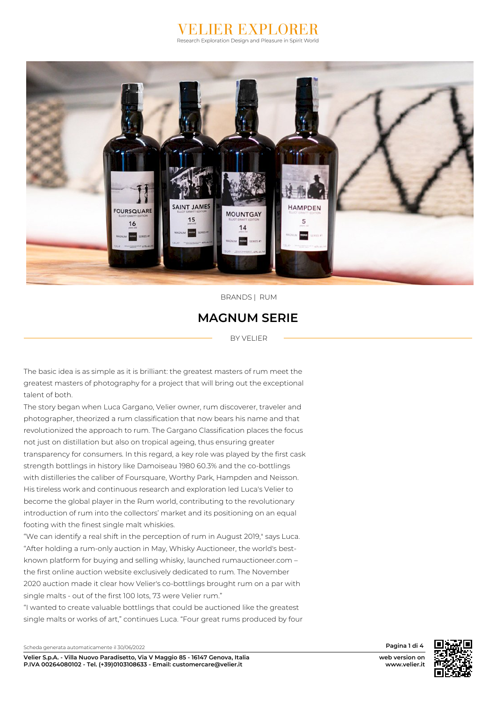#### **JIER EXPLOI** Research Exploration Design and Pleasure in Spirit World



 *BRANDS | RUM* 

#### *MAGNUM SERIE*

 *BY VELIER* 

 *The basic idea is as simple as it is brilliant: the greatest masters of rum meet the greatest masters of photography for a project that will bring out the exceptional talent of both.*

*The story began when Luca Gargano, Velier owner, rum discoverer, traveler and photographer, theorized a rum classification that now bears his name and that revolutionized the approach to rum. The Gargano Classification places the focus not just on distillation but also on tropical ageing, thus ensuring greater transparency for consumers. In this regard, a key role was played by the first cask strength bottlings in history like Damoiseau 1980 60.3% and the co-bottlings with distilleries the caliber of Foursquare, Worthy Park, Hampden and Neisson. His tireless work and continuous research and exploration led Luca's Velier to become the global player in the Rum world, contributing to the revolutionary introduction of rum into the collectors' market and its positioning on an equal footing with the finest single malt whiskies.*

*"We can identify a real shift in the perception of rum in August 2019," says Luca. "After holding a rum-only auction in May, Whisky Auctioneer, the world's bestknown platform for buying and selling whisky, launched rumauctioneer.com – the first online auction website exclusively dedicated to rum. The November 2020 auction made it clear how Velier's co-bottlings brought rum on a par with single malts - out of the first 100 lots, 73 were Velier rum."*

*"I wanted to create valuable bottlings that could be auctioned like the greatest single malts or works of art," continues Luca. "Four great rums produced by four*



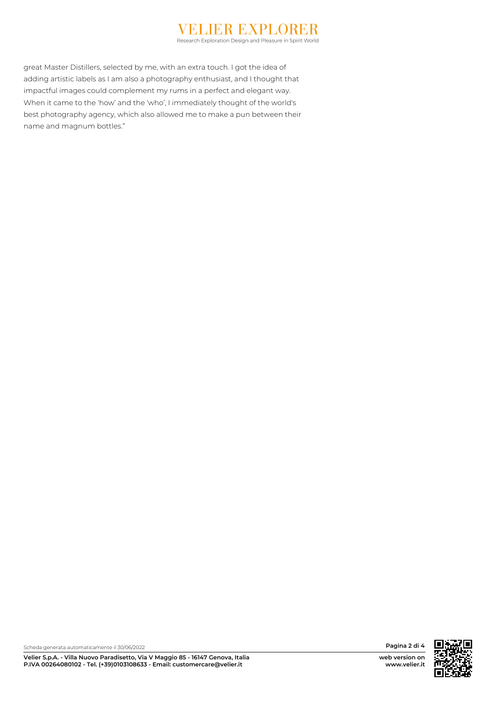## **IER EXPLOR**

Research Exploration Design and Pleasure in Spirit World

*great Master Distillers, selected by me, with an extra touch. I got the idea of adding artistic labels as I am also a photography enthusiast, and I thought that impactful images could complement my rums in a perfect and elegant way. When it came to the 'how' and the 'who', I immediately thought of the world's best photography agency, which also allowed me to make a pun between their name and magnum bottles."*



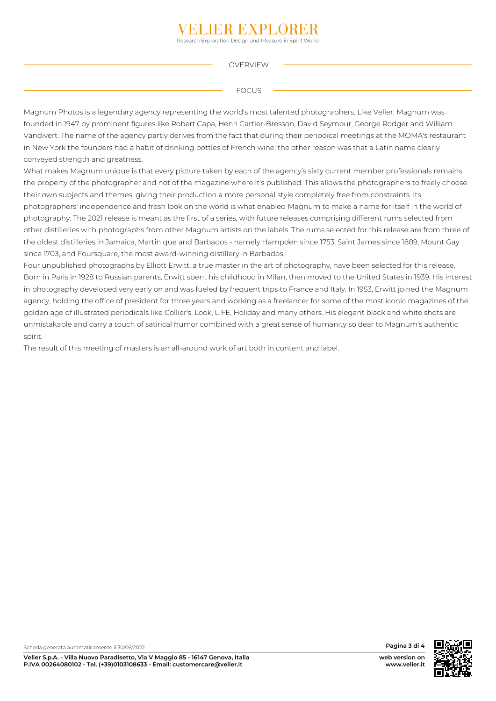### **FR EXPLOI**

Research Exploration Design and Pleasure in Spirit World

 *OVERVIEW* 

 *FOCUS* 

*Magnum Photos is a legendary agency representing the world's most talented photographers. Like Velier, Magnum was founded in 1947 by prominent figures like Robert Capa, Henri Cartier-Bresson, David Seymour, George Rodger and William Vandivert. The name of the agency partly derives from the fact that during their periodical meetings at the MOMA's restaurant in New York the founders had a habit of drinking bottles of French wine; the other reason was that a Latin name clearly conveyed strength and greatness.*

*What makes Magnum unique is that every picture taken by each of the agency's sixty current member professionals remains the property of the photographer and not of the magazine where it's published. This allows the photographers to freely choose their own subjects and themes, giving their production a more personal style completely free from constraints. Its photographers' independence and fresh look on the world is what enabled Magnum to make a name for itself in the world of photography. The 2021 release is meant as the first of a series, with future releases comprising different rums selected from other distilleries with photographs from other Magnum artists on the labels. The rums selected for this release are from three of the oldest distilleries in Jamaica, Martinique and Barbados - namely Hampden since 1753, Saint James since 1889, Mount Gay since 1703, and Foursquare, the most award-winning distillery in Barbados.*

*Four unpublished photographs by Elliott Erwitt, a true master in the art of photography, have been selected for this release. Born in Paris in 1928 to Russian parents, Erwitt spent his childhood in Milan, then moved to the United States in 1939. His interest in photography developed very early on and was fueled by frequent trips to France and Italy. In 1953, Erwitt joined the Magnum agency, holding the office of president for three years and working as a freelancer for some of the most iconic magazines of the golden age of illustrated periodicals like Collier's, Look, LIFE, Holiday and many others. His elegant black and white shots are unmistakable and carry a touch of satirical humor combined with a great sense of humanity so dear to Magnum's authentic spirit.*

*The result of this meeting of masters is an all-around work of art both in content and label.*